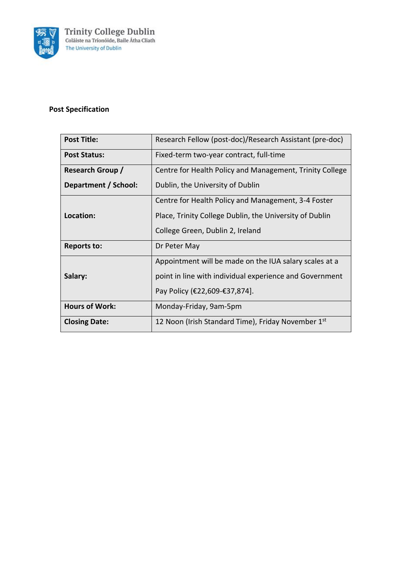

# **Post Specification**

| <b>Post Title:</b>      | Research Fellow (post-doc)/Research Assistant (pre-doc)  |
|-------------------------|----------------------------------------------------------|
| Post Status:            | Fixed-term two-year contract, full-time                  |
| <b>Research Group /</b> | Centre for Health Policy and Management, Trinity College |
| Department / School:    | Dublin, the University of Dublin                         |
|                         | Centre for Health Policy and Management, 3-4 Foster      |
| Location:               | Place, Trinity College Dublin, the University of Dublin  |
|                         | College Green, Dublin 2, Ireland                         |
| <b>Reports to:</b>      | Dr Peter May                                             |
|                         | Appointment will be made on the IUA salary scales at a   |
| Salary:                 | point in line with individual experience and Government  |
|                         | Pay Policy (€22,609-€37,874).                            |
| <b>Hours of Work:</b>   | Monday-Friday, 9am-5pm                                   |
| <b>Closing Date:</b>    | 12 Noon (Irish Standard Time), Friday November 1st       |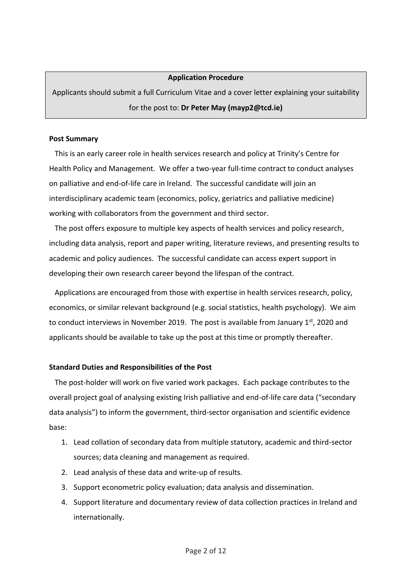#### **Application Procedure**

Applicants should submit a full Curriculum Vitae and a cover letter explaining your suitability for the post to: **Dr Peter May (mayp2@tcd.ie)**

#### **Post Summary**

 This is an early career role in health services research and policy at Trinity's Centre for Health Policy and Management. We offer a two-year full-time contract to conduct analyses on palliative and end-of-life care in Ireland. The successful candidate will join an interdisciplinary academic team (economics, policy, geriatrics and palliative medicine) working with collaborators from the government and third sector.

The post offers exposure to multiple key aspects of health services and policy research, including data analysis, report and paper writing, literature reviews, and presenting results to academic and policy audiences. The successful candidate can access expert support in developing their own research career beyond the lifespan of the contract.

 Applications are encouraged from those with expertise in health services research, policy, economics, or similar relevant background (e.g. social statistics, health psychology). We aim to conduct interviews in November 2019. The post is available from January  $1<sup>st</sup>$ , 2020 and applicants should be available to take up the post at this time or promptly thereafter.

#### **Standard Duties and Responsibilities of the Post**

 The post-holder will work on five varied work packages. Each package contributes to the overall project goal of analysing existing Irish palliative and end-of-life care data ("secondary data analysis") to inform the government, third-sector organisation and scientific evidence base:

- 1. Lead collation of secondary data from multiple statutory, academic and third-sector sources; data cleaning and management as required.
- 2. Lead analysis of these data and write-up of results.
- 3. Support econometric policy evaluation; data analysis and dissemination.
- 4. Support literature and documentary review of data collection practices in Ireland and internationally.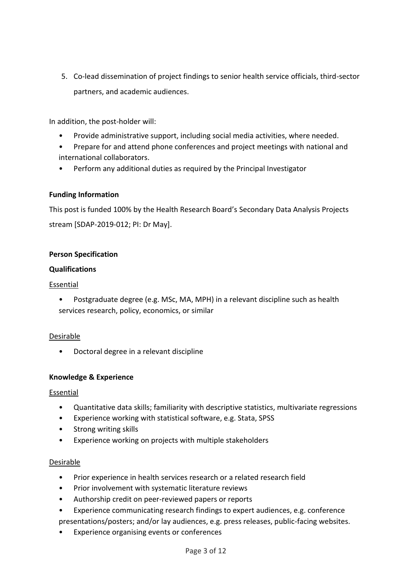5. Co-lead dissemination of project findings to senior health service officials, third-sector partners, and academic audiences.

In addition, the post-holder will:

- Provide administrative support, including social media activities, where needed.
- Prepare for and attend phone conferences and project meetings with national and international collaborators.
- Perform any additional duties as required by the Principal Investigator

### **Funding Information**

This post is funded 100% by the Health Research Board's Secondary Data Analysis Projects stream [SDAP-2019-012; PI: Dr May].

### **Person Specification**

#### **Qualifications**

#### Essential

• Postgraduate degree (e.g. MSc, MA, MPH) in a relevant discipline such as health services research, policy, economics, or similar

#### Desirable

• Doctoral degree in a relevant discipline

#### **Knowledge & Experience**

#### Essential

- Quantitative data skills; familiarity with descriptive statistics, multivariate regressions
- Experience working with statistical software, e.g. Stata, SPSS
- Strong writing skills
- Experience working on projects with multiple stakeholders

#### Desirable

- Prior experience in health services research or a related research field
- Prior involvement with systematic literature reviews
- Authorship credit on peer-reviewed papers or reports
- Experience communicating research findings to expert audiences, e.g. conference presentations/posters; and/or lay audiences, e.g. press releases, public-facing websites.
- Experience organising events or conferences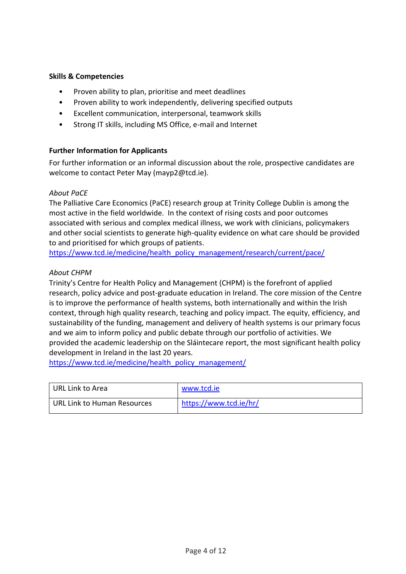### **Skills & Competencies**

- Proven ability to plan, prioritise and meet deadlines
- Proven ability to work independently, delivering specified outputs
- Excellent communication, interpersonal, teamwork skills
- Strong IT skills, including MS Office, e-mail and Internet

#### **Further Information for Applicants**

For further information or an informal discussion about the role, prospective candidates are welcome to contact Peter May (mayp2@tcd.ie).

#### *About PaCE*

The Palliative Care Economics (PaCE) research group at Trinity College Dublin is among the most active in the field worldwide. In the context of rising costs and poor outcomes associated with serious and complex medical illness, we work with clinicians, policymakers and other social scientists to generate high-quality evidence on what care should be provided to and prioritised for which groups of patients.

[https://www.tcd.ie/medicine/health\\_policy\\_management/research/current/pace/](https://www.tcd.ie/medicine/health_policy_management/research/current/pace/)

#### *About CHPM*

Trinity's Centre for Health Policy and Management (CHPM) is the forefront of applied research, policy advice and post-graduate education in Ireland. The core mission of the Centre is to improve the performance of health systems, both internationally and within the Irish context, through high quality research, teaching and policy impact. The equity, efficiency, and sustainability of the funding, management and delivery of health systems is our primary focus and we aim to inform policy and public debate through our portfolio of activities. We provided the academic leadership on the Sláintecare report, the most significant health policy development in Ireland in the last 20 years.

https://www.tcd.ie/medicine/health\_policy\_management/

| URL Link to Area            | www.tcd.ie             |
|-----------------------------|------------------------|
| URL Link to Human Resources | https://www.tcd.ie/hr/ |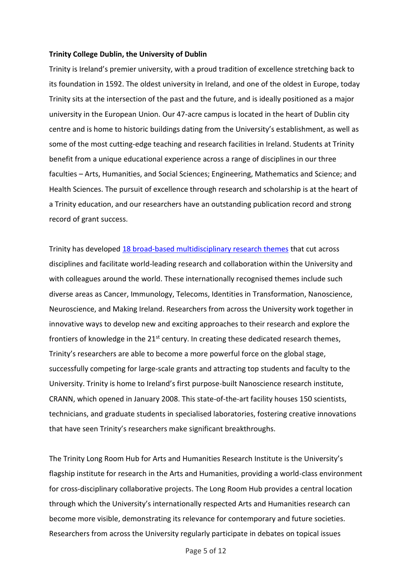#### **Trinity College Dublin, the University of Dublin**

Trinity is Ireland's premier university, with a proud tradition of excellence stretching back to its foundation in 1592. The oldest university in Ireland, and one of the oldest in Europe, today Trinity sits at the intersection of the past and the future, and is ideally positioned as a major university in the European Union. Our 47-acre campus is located in the heart of Dublin city centre and is home to historic buildings dating from the University's establishment, as well as some of the most cutting-edge teaching and research facilities in Ireland. Students at Trinity benefit from a unique educational experience across a range of disciplines in our three faculties – Arts, Humanities, and Social Sciences; Engineering, Mathematics and Science; and Health Sciences. The pursuit of excellence through research and scholarship is at the heart of a Trinity education, and our researchers have an outstanding publication record and strong record of grant success.

Trinity has developed 18 [broad-based multidisciplinary research themes](https://www.tcd.ie/research/themes/) that cut across disciplines and facilitate world-leading research and collaboration within the University and with colleagues around the world. These internationally recognised themes include such diverse areas as Cancer, Immunology, Telecoms, Identities in Transformation, Nanoscience, Neuroscience, and Making Ireland. Researchers from across the University work together in innovative ways to develop new and exciting approaches to their research and explore the frontiers of knowledge in the 21<sup>st</sup> century. In creating these dedicated research themes, Trinity's researchers are able to become a more powerful force on the global stage, successfully competing for large-scale grants and attracting top students and faculty to the University. Trinity is home to Ireland's first purpose-built Nanoscience research institute, CRANN, which opened in January 2008. This state-of-the-art facility houses 150 scientists, technicians, and graduate students in specialised laboratories, fostering creative innovations that have seen Trinity's researchers make significant breakthroughs.

The Trinity Long Room Hub for Arts and Humanities Research Institute is the University's flagship institute for research in the Arts and Humanities, providing a world-class environment for cross-disciplinary collaborative projects. The Long Room Hub provides a central location through which the University's internationally respected Arts and Humanities research can become more visible, demonstrating its relevance for contemporary and future societies. Researchers from across the University regularly participate in debates on topical issues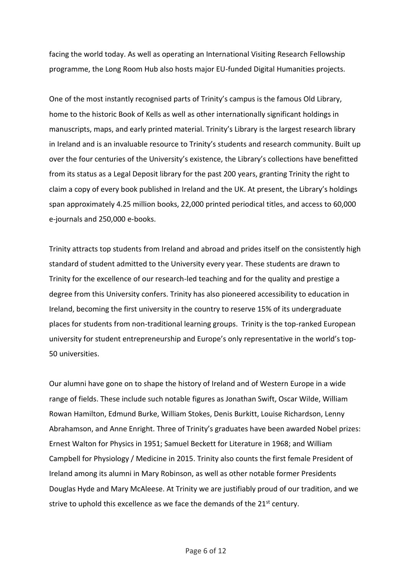facing the world today. As well as operating an International Visiting Research Fellowship programme, the Long Room Hub also hosts major EU-funded Digital Humanities projects.

One of the most instantly recognised parts of Trinity's campus is the famous Old Library, home to the historic Book of Kells as well as other internationally significant holdings in manuscripts, maps, and early printed material. Trinity's Library is the largest research library in Ireland and is an invaluable resource to Trinity's students and research community. Built up over the four centuries of the University's existence, the Library's collections have benefitted from its status as a Legal Deposit library for the past 200 years, granting Trinity the right to claim a copy of every book published in Ireland and the UK. At present, the Library's holdings span approximately 4.25 million books, 22,000 printed periodical titles, and access to 60,000 e-journals and 250,000 e-books.

Trinity attracts top students from Ireland and abroad and prides itself on the consistently high standard of student admitted to the University every year. These students are drawn to Trinity for the excellence of our research-led teaching and for the quality and prestige a degree from this University confers. Trinity has also pioneered accessibility to education in Ireland, becoming the first university in the country to reserve 15% of its undergraduate places for students from non-traditional learning groups. Trinity is the top-ranked European university for student entrepreneurship and Europe's only representative in the world's top-50 universities.

Our alumni have gone on to shape the history of Ireland and of Western Europe in a wide range of fields. These include such notable figures as Jonathan Swift, Oscar Wilde, William Rowan Hamilton, Edmund Burke, William Stokes, Denis Burkitt, Louise Richardson, Lenny Abrahamson, and Anne Enright. Three of Trinity's graduates have been awarded Nobel prizes: Ernest Walton for Physics in 1951; Samuel Beckett for Literature in 1968; and William Campbell for Physiology / Medicine in 2015. Trinity also counts the first female President of Ireland among its alumni in Mary Robinson, as well as other notable former Presidents Douglas Hyde and Mary McAleese. At Trinity we are justifiably proud of our tradition, and we strive to uphold this excellence as we face the demands of the 21<sup>st</sup> century.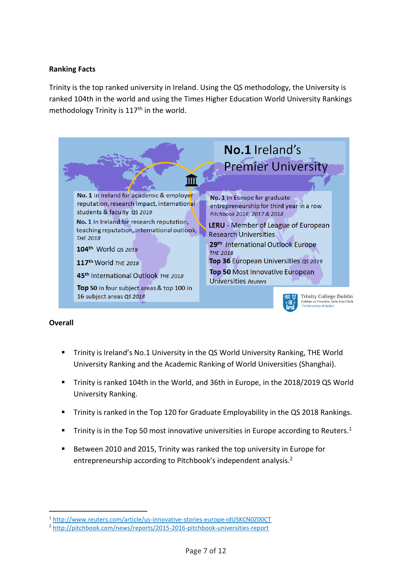## **Ranking Facts**

Trinity is the top ranked university in Ireland. Using the QS methodology, the University is ranked 104th in the world and using the Times Higher Education World University Rankings methodology Trinity is  $117<sup>th</sup>$  in the world.



#### **Overall**

.

- Trinity is Ireland's No.1 University in the QS World University Ranking, THE World University Ranking and the Academic Ranking of World Universities (Shanghai).
- Trinity is ranked 104th in the World, and 36th in Europe, in the 2018/2019 QS World University Ranking.
- Trinity is ranked in the Top 120 for Graduate Employability in the QS 2018 Rankings.
- Trinity is in the Top 50 most innovative universities in Europe according to Reuters.<sup>1</sup>
- Between 2010 and 2015, Trinity was ranked the top university in Europe for entrepreneurship according to Pitchbook's independent analysis.<sup>2</sup>

<sup>1</sup> <http://www.reuters.com/article/us-innovative-stories-europe-idUSKCN0Z00CT>

<sup>2</sup> <http://pitchbook.com/news/reports/2015-2016-pitchbook-universities-report>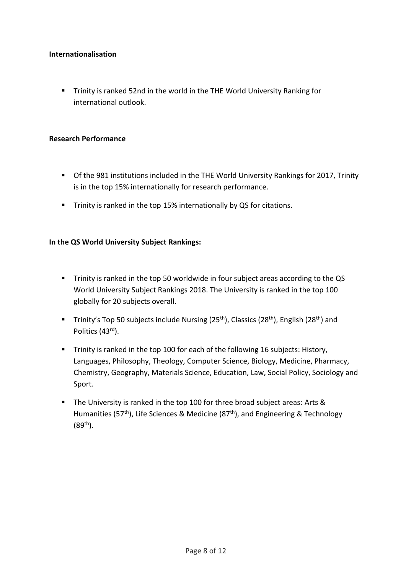### **Internationalisation**

**E** Trinity is ranked 52nd in the world in the THE World University Ranking for international outlook.

### **Research Performance**

- Of the 981 institutions included in the THE World University Rankings for 2017, Trinity is in the top 15% internationally for research performance.
- Trinity is ranked in the top 15% internationally by QS for citations.

## **In the QS World University Subject Rankings:**

- Trinity is ranked in the top 50 worldwide in four subject areas according to the QS World University Subject Rankings 2018. The University is ranked in the top 100 globally for 20 subjects overall.
- **■** Trinity's Top 50 subjects include Nursing (25<sup>th</sup>), Classics (28<sup>th</sup>), English (28<sup>th</sup>) and Politics (43rd).
- **Trinity is ranked in the top 100 for each of the following 16 subjects: History,** Languages, Philosophy, Theology, Computer Science, Biology, Medicine, Pharmacy, Chemistry, Geography, Materials Science, Education, Law, Social Policy, Sociology and Sport.
- The University is ranked in the top 100 for three broad subject areas: Arts & Humanities (57<sup>th</sup>), Life Sciences & Medicine (87<sup>th</sup>), and Engineering & Technology  $(89^{th})$ .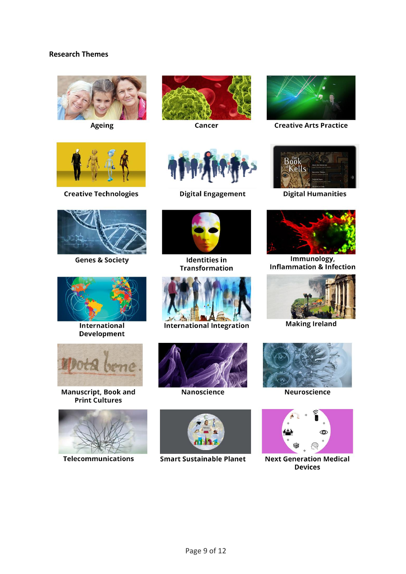### **Research Themes**



Ageing



Cancer



**Creative Arts Practice** 



**Creative Technologies** 



**Genes & Society** 



International **Development** 



Manuscript, Book and<br>Print Cultures



**Telecommunications** 



**Digital Engagement** 



**Identities in Transformation** 



**International Integration** 



Nanoscience



**Smart Sustainable Planet** 



**Digital Humanities** 



Immunology, **Inflammation & Infection** 



**Making Ireland** 



**Neuroscience** 



**Next Generation Medical Devices**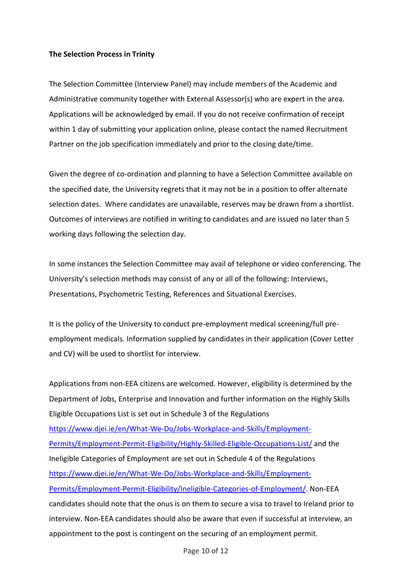### **The Selection Process in Trinity**

The Selection Committee (Interview Panel) may include members of the Academic and Administrative community together with External Assessor(s) who are expert in the area. Applications will be acknowledged by email. If you do not receive confirmation of receipt within 1 day of submitting your application online, please contact the named Recruitment Partner on the job specification immediately and prior to the closing date/time.

Given the degree of co-ordination and planning to have a Selection Committee available on the specified date, the University regrets that it may not be in a position to offer alternate selection dates. Where candidates are unavailable, reserves may be drawn from a shortlist. Outcomes of interviews are notified in writing to candidates and are issued no later than 5 working days following the selection day.

In some instances the Selection Committee may avail of telephone or video conferencing. The University's selection methods may consist of any or all of the following: Interviews, Presentations, Psychometric Testing, References and Situational Exercises.

It is the policy of the University to conduct pre-employment medical screening/full preemployment medicals. Information supplied by candidates in their application (Cover Letter and CV) will be used to shortlist for interview.

Applications from non-EEA citizens are welcomed. However, eligibility is determined by the Department of Jobs, Enterprise and Innovation and further information on the Highly Skills Eligible Occupations List is set out in Schedule 3 of the Regulations [https://www.djei.ie/en/What-We-Do/Jobs-Workplace-and-Skills/Employment-](https://www.djei.ie/en/What-We-Do/Jobs-Workplace-and-Skills/Employment-Permits/Employment-Permit-Eligibility/Highly-Skilled-Eligible-Occupations-List/)[Permits/Employment-Permit-Eligibility/Highly-Skilled-Eligible-Occupations-List/](https://www.djei.ie/en/What-We-Do/Jobs-Workplace-and-Skills/Employment-Permits/Employment-Permit-Eligibility/Highly-Skilled-Eligible-Occupations-List/) and the Ineligible Categories of Employment are set out in Schedule 4 of the Regulations [https://www.djei.ie/en/What-We-Do/Jobs-Workplace-and-Skills/Employment-](https://www.djei.ie/en/What-We-Do/Jobs-Workplace-and-Skills/Employment-Permits/Employment-Permit-Eligibility/Ineligible-Categories-of-Employment/)[Permits/Employment-Permit-Eligibility/Ineligible-Categories-of-Employment/.](https://www.djei.ie/en/What-We-Do/Jobs-Workplace-and-Skills/Employment-Permits/Employment-Permit-Eligibility/Ineligible-Categories-of-Employment/) Non-EEA candidates should note that the onus is on them to secure a visa to travel to Ireland prior to interview. Non-EEA candidates should also be aware that even if successful at interview, an appointment to the post is contingent on the securing of an employment permit.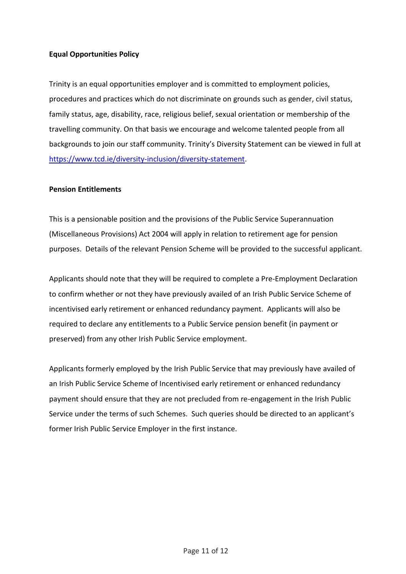### **Equal Opportunities Policy**

Trinity is an equal opportunities employer and is committed to employment policies, procedures and practices which do not discriminate on grounds such as gender, civil status, family status, age, disability, race, religious belief, sexual orientation or membership of the travelling community. On that basis we encourage and welcome talented people from all backgrounds to join our staff community. Trinity's Diversity Statement can be viewed in full at [https://www.tcd.ie/diversity-inclusion/diversity-statement.](https://www.tcd.ie/diversity-inclusion/diversity-statement)

#### **Pension Entitlements**

This is a pensionable position and the provisions of the Public Service Superannuation (Miscellaneous Provisions) Act 2004 will apply in relation to retirement age for pension purposes. Details of the relevant Pension Scheme will be provided to the successful applicant.

Applicants should note that they will be required to complete a Pre-Employment Declaration to confirm whether or not they have previously availed of an Irish Public Service Scheme of incentivised early retirement or enhanced redundancy payment. Applicants will also be required to declare any entitlements to a Public Service pension benefit (in payment or preserved) from any other Irish Public Service employment.

Applicants formerly employed by the Irish Public Service that may previously have availed of an Irish Public Service Scheme of Incentivised early retirement or enhanced redundancy payment should ensure that they are not precluded from re-engagement in the Irish Public Service under the terms of such Schemes. Such queries should be directed to an applicant's former Irish Public Service Employer in the first instance.